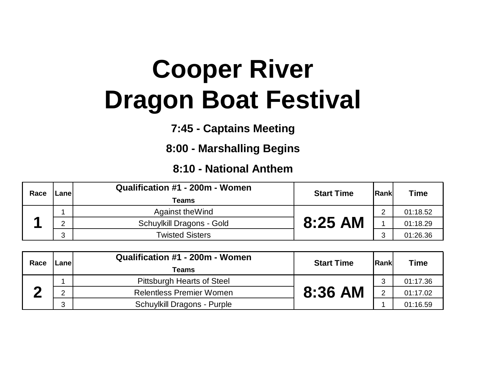## **Cooper River Dragon Boat Festival**

**7:45 - Captains Meeting**

**8:00 - Marshalling Begins**

## **8:10 - National Anthem**

| Race | Lanel  | Qualification #1 - 200m - Women<br>Teams | <b>Start Time</b> | lRankl | <b>Time</b> |
|------|--------|------------------------------------------|-------------------|--------|-------------|
|      |        | Against the Wind                         |                   | $\sim$ | 01:18.52    |
|      | റ      | Schuylkill Dragons - Gold                | 8:25 AM           |        | 01:18.29    |
|      | ົ<br>◡ | <b>Twisted Sisters</b>                   |                   | ◠      | 01:26.36    |

| Race | .anel | Qualification #1 - 200m - Women<br>Teams | <b>Start Time</b> | <b>Rank</b>    | <b>Time</b> |
|------|-------|------------------------------------------|-------------------|----------------|-------------|
|      |       | Pittsburgh Hearts of Steel               |                   | ົ              | 01:17.36    |
|      | ⌒     | <b>Relentless Premier Women</b>          | 8:36 AM           | $\overline{2}$ | 01:17.02    |
|      | ≏     | <b>Schuylkill Dragons - Purple</b>       |                   |                | 01:16.59    |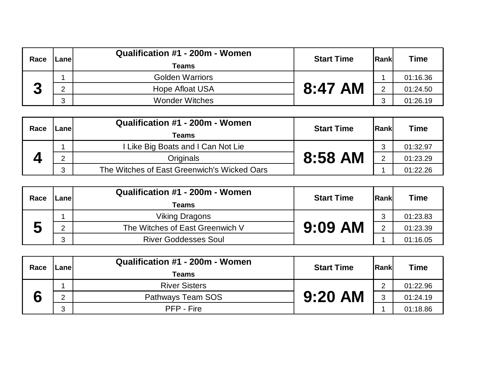| Race   | ∟anel | Qualification #1 - 200m - Women<br><b>Teams</b> | <b>Start Time</b> | lRankl        | <b>Time</b> |
|--------|-------|-------------------------------------------------|-------------------|---------------|-------------|
| ŋ<br>◡ |       | <b>Golden Warriors</b>                          |                   |               | 01:16.36    |
|        |       | <b>Hope Afloat USA</b>                          | 8:47 AM           | $\mathcal{D}$ | 01:24.50    |
|        | ົ     | <b>Wonder Witches</b>                           |                   | ◠             | 01:26.19    |

| Race | .anel | Qualification #1 - 200m - Women<br><b>Teams</b> | <b>Start Time</b> | <b>Rank</b>   | Time     |
|------|-------|-------------------------------------------------|-------------------|---------------|----------|
|      |       | Like Big Boats and I Can Not Lie                |                   | ◠             | 01:32.97 |
|      |       | <b>Originals</b>                                | 8:58 AM           | $\mathcal{D}$ | 01:23.29 |
|      | 0     | The Witches of East Greenwich's Wicked Oars     |                   |               | 01:22.26 |

| Race                       | _anel | Qualification #1 - 200m - Women<br>Teams | <b>Start Time</b> | <b>IRankl</b>  | <b>Time</b> |
|----------------------------|-------|------------------------------------------|-------------------|----------------|-------------|
|                            |       | <b>Viking Dragons</b>                    |                   | ≏              | 01:23.83    |
| -<br>$\blacktriangleright$ | ⌒     | The Witches of East Greenwich V          | $9:09$ AM         | $\overline{2}$ | 01:23.39    |
|                            | ົ     | <b>River Goddesses Soul</b>              |                   |                | 01:16.05    |

| Race | ∟anel | Qualification #1 - 200m - Women<br>Teams | <b>Start Time</b> | Rank | <b>Time</b> |
|------|-------|------------------------------------------|-------------------|------|-------------|
|      |       | <b>River Sisters</b>                     |                   | C    | 01:22.96    |
|      | ◠     | Pathways Team SOS                        | $9:20$ AM         | 3    | 01:24.19    |
|      | ◠     | PFP - Fire                               |                   |      | 01:18.86    |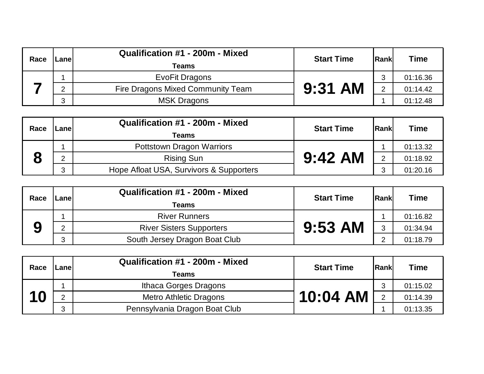| Race | _anel | Qualification #1 - 200m - Mixed<br>Teams | <b>Start Time</b> | <b>Rankl</b>  | <b>Time</b> |
|------|-------|------------------------------------------|-------------------|---------------|-------------|
|      |       | EvoFit Dragons                           |                   | ◠             | 01:16.36    |
|      | റ     | Fire Dragons Mixed Community Team        | $9:31$ AM         | $\mathcal{D}$ | 01:14.42    |
|      | ◠     | <b>MSK Dragons</b>                       |                   |               | 01:12.48    |

| Race | Lanel  | Qualification #1 - 200m - Mixed<br>Teams | <b>Start Time</b> | <b>IRankl</b>  | <b>Time</b> |
|------|--------|------------------------------------------|-------------------|----------------|-------------|
|      |        | Pottstown Dragon Warriors                |                   |                | 01:13.32    |
|      | ⌒      | <b>Rising Sun</b>                        | $9:42$ AM         | $\overline{2}$ | 01:18.92    |
|      | 0<br>J | Hope Afloat USA, Survivors & Supporters  |                   | ◠              | 01:20.16    |

| Race | -anel | Qualification #1 - 200m - Mixed<br>Teams | <b>Start Time</b> | <b>Rank</b> | Time     |
|------|-------|------------------------------------------|-------------------|-------------|----------|
|      |       | <b>River Runners</b>                     |                   |             | 01:16.82 |
| Y    | ⌒     | <b>River Sisters Supporters</b>          | $9:53$ AM         | 3           | 01:34.94 |
|      | ົ     | South Jersey Dragon Boat Club            |                   | $\sim$      | 01:18.79 |

| Race | Lanel | Qualification #1 - 200m - Mixed<br>Teams | <b>Start Time</b> | Rank          | <b>Time</b> |
|------|-------|------------------------------------------|-------------------|---------------|-------------|
| 10   |       | Ithaca Gorges Dragons                    |                   | ◠             | 01:15.02    |
|      |       | <b>Metro Athletic Dragons</b>            | $10:04$ AM        | $\mathcal{P}$ | 01:14.39    |
|      | ົ     | Pennsylvania Dragon Boat Club            |                   |               | 01:13.35    |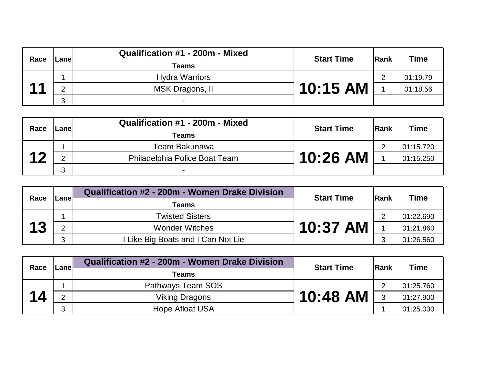| Race | ∟anel | Qualification #1 - 200m - Mixed<br>Teams | <b>Start Time</b> | Rank | <b>Time</b> |
|------|-------|------------------------------------------|-------------------|------|-------------|
|      |       | <b>Hydra Warriors</b>                    |                   | ⌒    | 01:19.79    |
|      |       | MSK Dragons, II                          | 10:15 AM          |      | 01:18.56    |
|      | റ     | -                                        |                   |      |             |

| Race      | ∟anel | Qualification #1 - 200m - Mixed<br>Teams | <b>Start Time</b> | <b>Rank</b> | <b>Time</b> |
|-----------|-------|------------------------------------------|-------------------|-------------|-------------|
| $\Lambda$ |       | Team Bakunawa                            |                   | $\sim$      | 01:15.720   |
|           |       | Philadelphia Police Boat Team            | 10:26 AM          |             | 01:15.250   |
|           | C     | $\sim$                                   |                   |             |             |

| Race | ∟anel | Qualification #2 - 200m - Women Drake Division<br>Teams | <b>Start Time</b> | <b>Rank</b> | Time      |
|------|-------|---------------------------------------------------------|-------------------|-------------|-----------|
|      |       | <b>Twisted Sisters</b>                                  | 10:37 AM          | $\sim$      | 01:22.690 |
| 13   |       | <b>Wonder Witches</b>                                   |                   |             | 01:21.860 |
|      | 3     | Like Big Boats and I Can Not Lie                        |                   | 0           | 01:26.560 |

| Race                            | Lanel | Qualification #2 - 200m - Women Drake Division | <b>Start Time</b> | <b>Rankl</b> | <b>Time</b> |
|---------------------------------|-------|------------------------------------------------|-------------------|--------------|-------------|
|                                 |       | Teams                                          |                   |              |             |
|                                 |       | Pathways Team SOS                              |                   | $\sim$       | 01:25.760   |
| $\mathbf{1}_{\mathbf{\Lambda}}$ |       | <b>Viking Dragons</b>                          | 10:48 AM          | 2            | 01:27.900   |
|                                 | 3     | <b>Hope Afloat USA</b>                         |                   |              | 01:25.030   |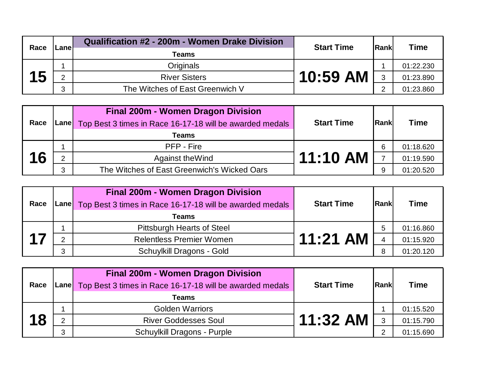| Race | Lanel | Qualification #2 - 200m - Women Drake Division | <b>Start Time</b> | <b>Rank</b> | <b>Time</b> |
|------|-------|------------------------------------------------|-------------------|-------------|-------------|
|      | Teams |                                                |                   |             |             |
|      |       | Originals                                      |                   |             | 01:22.230   |
| 15   | ⌒     | <b>River Sisters</b>                           | 10:59 AM          | 3           | 01:23.890   |
|      | 2     | The Witches of East Greenwich V                |                   | ⌒           | 01:23.860   |

| Race |   | Final 200m - Women Dragon Division<br><b>Lane</b> Top Best 3 times in Race 16-17-18 will be awarded medals | <b>Start Time</b> | <b>Rankl</b>             | <b>Time</b> |
|------|---|------------------------------------------------------------------------------------------------------------|-------------------|--------------------------|-------------|
|      |   | <b>Teams</b>                                                                                               |                   |                          |             |
|      |   | PFP - Fire                                                                                                 |                   | 6                        | 01:18.620   |
| 16   | ⌒ | Against the Wind                                                                                           | 11:10 AM          | $\overline{\phantom{0}}$ | 01:19.590   |
|      | 2 | The Witches of East Greenwich's Wicked Oars                                                                |                   | 9                        | 01:20.520   |

| Race |   | <b>Final 200m - Women Dragon Division</b><br>Lane Top Best 3 times in Race 16-17-18 will be awarded medals<br>Teams | <b>Start Time</b> | <b>Rankl</b>   | <b>Time</b> |
|------|---|---------------------------------------------------------------------------------------------------------------------|-------------------|----------------|-------------|
|      |   | <b>Pittsburgh Hearts of Steel</b>                                                                                   |                   | b              | 01:16.860   |
|      |   | <b>Relentless Premier Women</b>                                                                                     | $11:21$ AM        | $\overline{4}$ | 01:15.920   |
|      | റ | Schuylkill Dragons - Gold                                                                                           |                   | 8              | 01:20.120   |

| Race | <b>Lane</b> | Final 200m - Women Dragon Division<br>Top Best 3 times in Race 16-17-18 will be awarded medals | <b>Start Time</b> | <b>Rankl</b> | <b>Time</b> |
|------|-------------|------------------------------------------------------------------------------------------------|-------------------|--------------|-------------|
|      |             | Teams                                                                                          |                   |              |             |
|      |             | <b>Golden Warriors</b>                                                                         |                   |              | 01:15.520   |
| 18   |             | <b>River Goddesses Soul</b>                                                                    | $11:32$ AM        | 3            | 01:15.790   |
|      | ຼ           | <b>Schuylkill Dragons - Purple</b>                                                             |                   | റ            | 01:15.690   |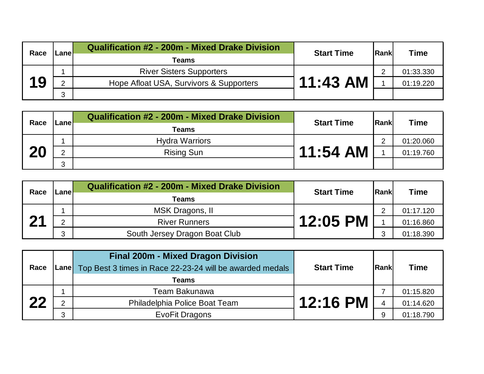| Race | Lanel  | <b>Qualification #2 - 200m - Mixed Drake Division</b> | <b>Start Time</b> | <b>IRank</b> | <b>Time</b> |
|------|--------|-------------------------------------------------------|-------------------|--------------|-------------|
|      | Teams  |                                                       |                   |              |             |
|      |        | <b>River Sisters Supporters</b>                       |                   | ◠            | 01:33.330   |
| 19   | ⌒      | Hope Afloat USA, Survivors & Supporters               | 11:43 AM          |              | 01:19.220   |
|      | 2<br>J |                                                       |                   |              |             |

| Race | Lanel  | <b>Qualification #2 - 200m - Mixed Drake Division</b><br><b>Start Time</b> | lRankl   | <b>Time</b> |           |
|------|--------|----------------------------------------------------------------------------|----------|-------------|-----------|
|      |        | <b>Teams</b>                                                               |          |             |           |
|      |        | <b>Hydra Warriors</b>                                                      |          | $\sim$      | 01:20.060 |
| 20   | ⌒      | <b>Rising Sun</b>                                                          | 11:54 AM |             | 01:19.760 |
|      | 2<br>J |                                                                            |          |             |           |

| Race              | Lanel | Qualification #2 - 200m - Mixed Drake Division | <b>Start Time</b> | <b>Rank</b> | Time      |
|-------------------|-------|------------------------------------------------|-------------------|-------------|-----------|
|                   |       | Teams                                          |                   |             |           |
|                   |       | MSK Dragons, II                                |                   | ◠           | 01:17.120 |
| $\mathbf{\Omega}$ |       | <b>River Runners</b>                           | <b>12:05 PM</b>   |             | 01:16.860 |
|                   | റ     | South Jersey Dragon Boat Club                  |                   | ◠           | 01:18.390 |

| Race |   | <b>Final 200m - Mixed Dragon Division</b><br><b>Lane</b> Top Best 3 times in Race 22-23-24 will be awarded medals | <b>Start Time</b> | Rank | <b>Time</b> |
|------|---|-------------------------------------------------------------------------------------------------------------------|-------------------|------|-------------|
|      |   | Teams                                                                                                             |                   |      |             |
| つつ   |   | Team Bakunawa                                                                                                     |                   |      | 01:15.820   |
|      | ົ | Philadelphia Police Boat Team                                                                                     | <b>12:16 PM</b>   |      | 01:14.620   |
|      | 3 | EvoFit Dragons                                                                                                    |                   | 9    | 01:18.790   |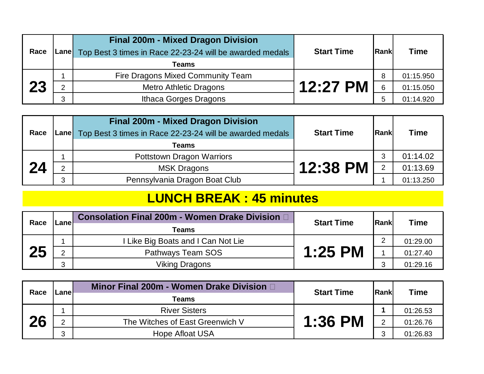| Race | <b>Final 200m - Mixed Dragon Division</b><br>Lane Top Best 3 times in Race 22-23-24 will be awarded medals<br>Teams | <b>Start Time</b> | <b>Rank</b> | <b>Time</b> |
|------|---------------------------------------------------------------------------------------------------------------------|-------------------|-------------|-------------|
|      | Fire Dragons Mixed Community Team                                                                                   |                   | 8           | 01:15.950   |
| 23   | <b>Metro Athletic Dragons</b>                                                                                       | 12:27 PM          | 6           | 01:15.050   |
|      | Ithaca Gorges Dragons                                                                                               |                   | 5           | 01:14.920   |

| Race |   | <b>Final 200m - Mixed Dragon Division</b><br>[Lane] Top Best 3 times in Race 22-23-24 will be awarded medals | <b>Start Time</b> | Rank           | <b>Time</b> |
|------|---|--------------------------------------------------------------------------------------------------------------|-------------------|----------------|-------------|
|      |   | Teams                                                                                                        |                   |                |             |
|      |   | <b>Pottstown Dragon Warriors</b>                                                                             |                   | 3              | 01:14.02    |
| 24   | റ | <b>MSK Dragons</b>                                                                                           | <b>12:38 PM</b>   | $\overline{2}$ | 01:13.69    |
|      | 3 | Pennsylvania Dragon Boat Club                                                                                |                   |                | 01:13.250   |

## **LUNCH BREAK : 45 minutes**

| Race |        | Consolation Final 200m - Women Drake Division D<br><b>Start Time</b><br>Lanel | <b>IRankl</b> | <b>Time</b> |          |
|------|--------|-------------------------------------------------------------------------------|---------------|-------------|----------|
|      |        | Teams                                                                         |               |             |          |
| 25   |        | Like Big Boats and I Can Not Lie                                              |               | $\Omega$    | 01:29.00 |
|      | റ      | Pathways Team SOS                                                             | $1:25$ PM     |             | 01:27.40 |
|      | ◠<br>J | Viking Dragons                                                                |               | ົ           | 01:29.16 |

| Race | Lanel | Minor Final 200m - Women Drake Division D | <b>Start Time</b> | <b>IRank</b>   | <b>Time</b> |
|------|-------|-------------------------------------------|-------------------|----------------|-------------|
|      |       | Teams                                     |                   |                |             |
| 26   |       | <b>River Sisters</b>                      |                   |                | 01:26.53    |
|      | ⌒     | The Witches of East Greenwich V           | <b>1:36 PM</b>    | $\overline{2}$ | 01:26.76    |
|      | ົ     | Hope Afloat USA                           |                   | ◠              | 01:26.83    |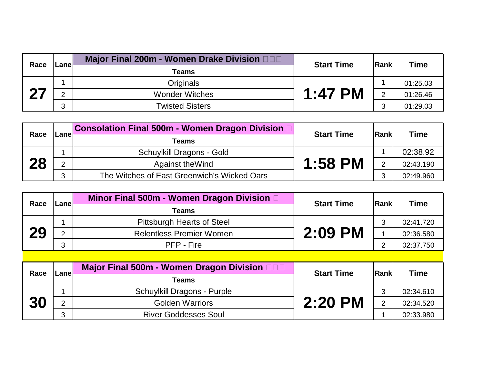| Race      | Lanel | Major Final 200m - Women Drake Division DDD | <b>Start Time</b> | lRankl |                         |
|-----------|-------|---------------------------------------------|-------------------|--------|-------------------------|
|           |       | Teams                                       |                   |        | <b>Time</b><br>01:25.03 |
| <b>07</b> |       | Originals                                   |                   |        |                         |
|           |       | <b>Wonder Witches</b>                       | $1:47$ PM         | C      | 01:26.46                |
|           | റ     | <b>Twisted Sisters</b>                      |                   | ◠      | 01:29.03                |

| Race | Lanel | Consolation Final 500m - Women Dragon Division □ | <b>Start Time</b> | Rank           | <b>Time</b> |
|------|-------|--------------------------------------------------|-------------------|----------------|-------------|
|      |       | Teams                                            |                   |                |             |
| 28   |       | Schuylkill Dragons - Gold                        |                   |                | 02:38.92    |
|      |       | Against the Wind                                 | <b>1:58 PM</b>    | $\overline{2}$ | 02:43.190   |
|      | ົາ    | The Witches of East Greenwich's Wicked Oars      |                   |                | 02:49.960   |

| Race | Lanel | Minor Final 500m - Women Dragon Division D<br>Teams | <b>Start Time</b> | Rankl | <b>Time</b> |
|------|-------|-----------------------------------------------------|-------------------|-------|-------------|
| 29   |       | Pittsburgh Hearts of Steel                          |                   | ◠     | 02:41.720   |
|      | റ     | <b>Relentless Premier Women</b>                     | 2:09 PM           |       | 02:36.580   |
|      | ົ     | PFP - Fire                                          |                   | ◠     | 02:37.750   |

| Race | Lanel | Major Final 500m - Women Dragon Division <b>DDD</b><br>Teams | <b>Start Time</b> | Rank | <b>Time</b> |
|------|-------|--------------------------------------------------------------|-------------------|------|-------------|
| 30   |       | <b>Schuylkill Dragons - Purple</b>                           |                   | ◠    | 02:34.610   |
|      |       | <b>Golden Warriors</b>                                       | 2:20 PM           | C    | 02:34.520   |
|      | ◠     | <b>River Goddesses Soul</b>                                  |                   |      | 02:33.980   |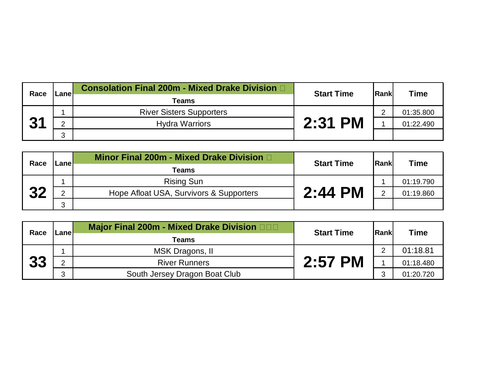| Race              | Lanel  | <b>Consolation Final 200m - Mixed Drake Division D</b><br>Teams | <b>Start Time</b> | <b>Rank</b> | <b>Time</b> |
|-------------------|--------|-----------------------------------------------------------------|-------------------|-------------|-------------|
| $\mathbf{\Omega}$ |        | <b>River Sisters Supporters</b>                                 |                   | ◠           | 01:35.800   |
|                   |        | <b>Hydra Warriors</b>                                           | $2:31$ PM         |             | 01:22.490   |
|                   | ◠<br>J |                                                                 |                   |             |             |

| Race | .anel  | Minor Final 200m - Mixed Drake Division D | <b>Start Time</b> | <b>IRank</b> |                                       |
|------|--------|-------------------------------------------|-------------------|--------------|---------------------------------------|
|      |        | Teams                                     |                   |              | <b>Time</b><br>01:19.790<br>01:19.860 |
| つつ   |        | <b>Rising Sun</b>                         |                   |              |                                       |
|      | ◠      | Hope Afloat USA, Survivors & Supporters   | $2:44$ PM         | C            |                                       |
|      | າ<br>ື |                                           |                   |              |                                       |

| Race | <b>Major Final 200m - Mixed Drake Division DOD</b><br><b>Start Time</b><br><b>Lane</b><br>Teams |                               | Rank    |   |                         |
|------|-------------------------------------------------------------------------------------------------|-------------------------------|---------|---|-------------------------|
|      |                                                                                                 |                               |         |   | <b>Time</b><br>01:18.81 |
|      |                                                                                                 | MSK Dragons, II               |         | C |                         |
| 33   | C                                                                                               | <b>River Runners</b>          | 2:57 PM |   | 01:18.480               |
|      | ≏                                                                                               | South Jersey Dragon Boat Club |         | ◠ | 01:20.720               |